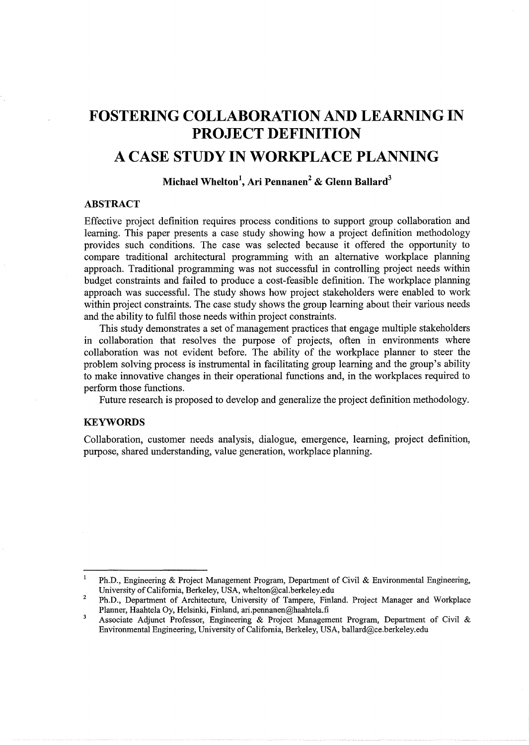# **FOSTERING COLLABORATION AND LEARNING IN PROJECT DEFINITION**

# **A CASE STUDY IN WORKPLACE PLANNING**

# **Michael Whelton<sup>1</sup> , Ari Pennanen<sup>2</sup>& Glenn Ballard<sup>3</sup>**

### **ABSTRACT**

Effective project definition requires process conditions to support group collaboration and learning. This paper presents a case study showing how a project definition methodology provides such conditions. The case was selected because it offered the opportunity to compare traditional architectural programming with an alternative workplace planning approach. Traditional programming was not successful in controlling project needs within budget constraints and failed to produce a cost-feasible definition. The workplace planning approach was successful. The study shows how project stakeholders were enabled to work within project constraints. The case study shows the group learning about their various needs and the ability to fulfil those needs within project constraints.

This study demonstrates a set of management practices that engage multiple stakeholders in collaboration that resolves the purpose of projects, often in environments where collaboration was not evident before. The ability of the workplace planner to steer the problem solving process is instrumental in facilitating group learning and the group's ability to make innovative changes in their operational functions and, in the workplaces required to perform those functions.

Future research is proposed to develop and generalize the project definition methodology.

#### **KEYWORDS**

Collaboration, customer needs analysis, dialogue, emergence, learning, project definition, purpose, shared understanding, value generation, workplace planning.

 $\mathbf{1}$ Ph.D., Engineering & Project Management Program, Department of Civil & Environmental Engineering, University of California, Berkeley, USA, whelton@cal.berkeley.edu

<sup>2</sup>  Ph.D., Department of Architecture, University of Tampere, Finland. Project Manager and Workplace Planner, Haahtela Oy, Helsinki, Finland, ari.pennanen@haahtela.fi

 $\overline{\mathbf{3}}$ Associate Adjunct Professor, Engineering & Project Management Program, Department of Civil & Environmental Engineering, University of California, Berkeley, USA, ballard@ce.berkeley.edu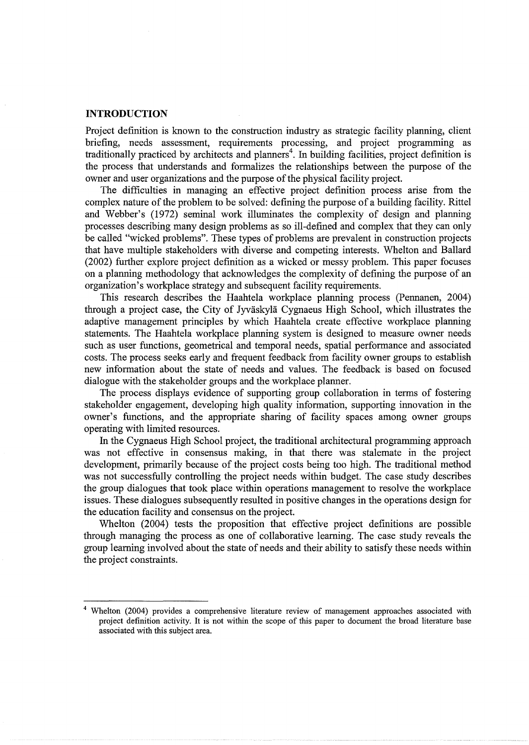#### **INTRODUCTION**

Project definition is known to the construction industry as strategic facility planning, client briefing, needs assessment, requirements processing, and project programming as traditionally practiced by architects and planners<sup>4</sup>. In building facilities, project definition is the process that understands and formalizes the relationships between the purpose of the owner and user organizations and the purpose of the physical facility project.

The difficulties in managing an effective project definition process arise from the complex nature of the problem to be solved: defining the purpose of a building facility. Rittel and Webber's (1972) seminal work illuminates the complexity of design and planning processes describing many design problems as so ill-defined and complex that they can only be called "wicked problems". These types of problems are prevalent in construction projects that have multiple stakeholders with diverse and competing interests. Whelton and Ballard (2002) further explore project definition as a wicked or messy problem. This paper focuses on a planning methodology that acknowledges the complexity of defining the purpose of an organization's workplace strategy and subsequent facility requirements.

This research describes the Haahtela workplace planning process (Pennanen, 2004) through a project case, the City of Jyväskylä Cygnaeus High School, which illustrates the adaptive management principles by which Haahtela create effective workplace planning statements. The Haahtela workplace planning system is designed to measure owner needs such as user functions, geometrical and temporal needs, spatial performance and associated costs. The process seeks early and frequent feedback from facility owner groups to establish new information about the state of needs and values. The feedback is based on focused dialogue with the stakeholder groups and the workplace planner.

The process displays evidence of supporting group collaboration in terms of fostering stakeholder engagement, developing high quality information, supporting innovation in the owner's functions, and the appropriate sharing of facility spaces among owner groups operating with limited resources.

In the Cygnaeus High School project, the traditional architectural programming approach was not effective in consensus making, in that there was stalemate in the project development, primarily because of the project costs being too high. The traditional method was not successfully controlling the project needs within budget. The case study describes the group dialogues that took place within operations management to resolve the workplace issues. These dialogues subsequently resulted in positive changes in the operations design for the education facility and consensus on the project.

Whelton (2004) tests the proposition that effective project definitions are possible through managing the process as one of collaborative learning. The case study reveals the group learning involved about the state of needs and their ability to satisfy these needs within the project constraints.

<sup>4</sup> Whelton (2004) provides a comprehensive literature review of management approaches associated with project definition activity. It is not within the scope of this paper to document the broad literature base associated with this subject area.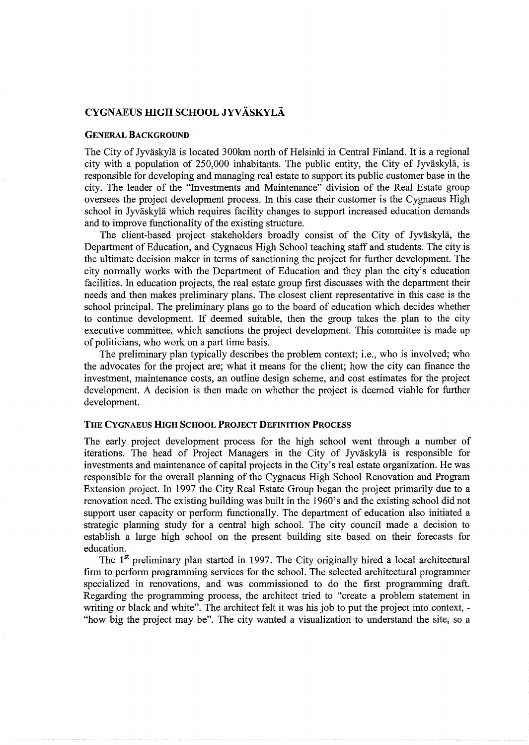# CYGNAEUS HIGH SCHOOL JYVÄSKYLÄ

#### GENERAL BACKGROUND

The City of Jyväskylä is located 300km north of Helsinki in Central Finland. It is a regional city with a population of 250,000 inhabitants. The public entity, the City of Jyväskylä, is responsible for developing and managing real estate to support its public customer base in the city. The leader of the "Investments and Maintenance" division of the Real Estate group oversees the project development process. In this case their customer is the Cygnaeus High school in Jyväskylä which requires facility changes to support increased education demands and to improve functionality of the existing structure.

The client-based project stakeholders broadly consist of the City of Jyväskylä, the Department of Education, and Cygnaeus High School teaching staff and students. The city is the ultimate decision maker in terms of sanctioning the project for further development. The city normally works with the Department of Education and they plan the city's education facilities. In education projects, the real estate group first discusses with the department their needs and then makes preliminary plans. The closest client representative in this case is the school principal. The preliminary plans go to the board of education which decides whether to continue development. If deemed suitable, then the group takes the plan to the city executive committee, which sanctions the project development. This committee is made up of politicians, who work on a part time basis.

The preliminary plan typically describes the problem context; i.e., who is involved; who the advocates for the project are; what it means for the client; how the city can finance the investment, maintenance costs, an outline design scheme, and cost estimates for the project development. A decision is then made on whether the project is deemed viable for further development.

#### THE CYGNAEUS HIGH SCHOOL PROJECT DEFINITION PROCESS

The early project development process for the high school went through a number of iterations. The head of Project Managers in the City of Jyväskylä is responsible for investments and maintenance of capital projects in the City's real estate organization. He was responsible for the overall planning of the Cygnaeus High School Renovation and Program Extension project. In 1997 the City Real Estate Group began the project primarily due to a renovation need. The existing building was built in the 1960's and the existing school did not support user capacity or perform functionally. The department of education also initiated a strategic planning study for a central high school. The city council made a decision to establish a large high school on the present building site based on their forecasts for education.

The 1<sup>st</sup> preliminary plan started in 1997. The City originally hired a local architectural firm to perform programming services for the school. The selected architectural programmer specialized in renovations, and was commissioned to do the first programming draft. Regarding the programming process, the architect tried to "create a problem statement in writing or black and white". The architect felt it was his job to put the project into context, - "how big the project may be". The city wanted a visualization to understand the site, so a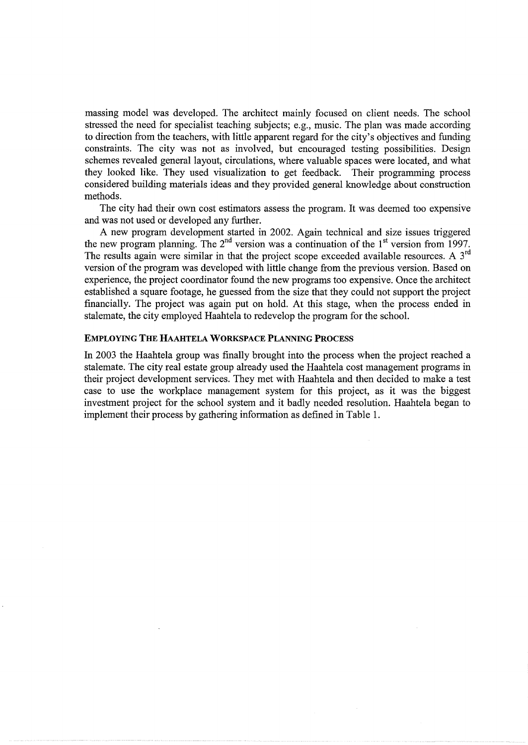massing model was developed. The architect mainly focused on client needs. The school stressed the need for specialist teaching subjects; e.g., music. The plan was made according to direction from the teachers, with little apparent regard for the city's objectives and funding constraints. The city was not as involved, but encouraged testing possibilities. Design schemes revealed general layout, circulations, where valuable spaces were located, and what they looked like. They used visualization to get feedback. Their programming process considered building materials ideas and they provided general knowledge about construction methods.

The city had their own cost estimators assess the program. It was deemed too expensive and was not used or developed any further.

A new program development started in 2002. Again technical and size issues triggered the new program planning. The  $2^{nd}$  version was a continuation of the  $1^{st}$  version from 1997. The results again were similar in that the project scope exceeded available resources. A  $3<sup>rd</sup>$ version of the program was developed with little change from the previous version. Based on experience, the project coordinator found the new programs too expensive. Once the architect established a square footage, he guessed from the size that they could not support the project financially. The project was again put on hold. At this stage, when the process ended in stalemate, the city employed Haahtela to redevelop the program for the school.

#### EMPLOYING THE HAAHTELA WORKSPACE PLANNING PROCESS

In 2003 the Haahtela group was finally brought into the process when the project reached a stalemate. The city real estate group already used the Haahtela cost management programs in their project development services. They met with Haahtela and then decided to make a test case to use the workplace management system for this project, as it was the biggest investment project for the school system and it badly needed resolution. Haahtela began to implement their process by gathering information as defined in Table 1.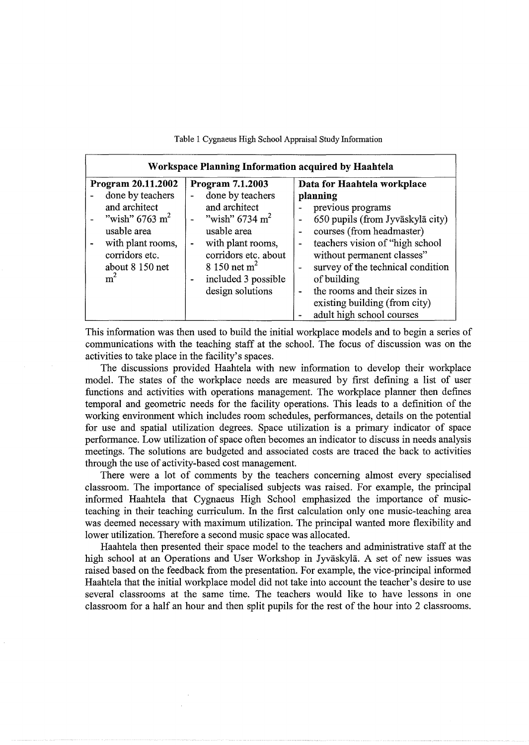| Workspace Planning Information acquired by Haahtela                                                                                                        |                                                                                                                                                                                                                                                                                      |                                                                                                                                                                                                                                                                                                                                                                                              |  |  |  |  |  |  |
|------------------------------------------------------------------------------------------------------------------------------------------------------------|--------------------------------------------------------------------------------------------------------------------------------------------------------------------------------------------------------------------------------------------------------------------------------------|----------------------------------------------------------------------------------------------------------------------------------------------------------------------------------------------------------------------------------------------------------------------------------------------------------------------------------------------------------------------------------------------|--|--|--|--|--|--|
| Program 20.11.2002                                                                                                                                         | Program 7.1.2003                                                                                                                                                                                                                                                                     | Data for Haahtela workplace                                                                                                                                                                                                                                                                                                                                                                  |  |  |  |  |  |  |
| done by teachers<br>and architect<br>"wish" 6763 m <sup>2</sup><br>usable area<br>with plant rooms,<br>corridors etc.<br>about 8 150 net<br>m <sup>2</sup> | done by teachers<br>$\blacksquare$<br>and architect<br>"wish" 6734 m <sup>2</sup><br>$\overline{\phantom{m}}$<br>usable area<br>with plant rooms,<br>$\overline{\phantom{a}}$<br>corridors etc. about<br>8 150 net $m2$<br>included 3 possible<br>$\blacksquare$<br>design solutions | planning<br>previous programs<br>650 pupils (from Jyväskylä city)<br>$\blacksquare$<br>courses (from headmaster)<br>-<br>teachers vision of "high school<br>L,<br>without permanent classes"<br>survey of the technical condition<br>$\overline{\phantom{0}}$<br>of building<br>the rooms and their sizes in<br>$\blacksquare$<br>existing building (from city)<br>adult high school courses |  |  |  |  |  |  |

Table 1 Cygnaeus High School Appraisal Study Information

This information was then used to build the initial workplace models and to begin a series of communications with the teaching staff at the school. The focus of discussion was on the activities to take place in the facility's spaces.

The discussions provided Haahtela with new information to develop their workplace model. The states of the workplace needs are measured by first defining a list of user functions and activities with operations management. The workplace planner then defines temporal and geometric needs for the facility operations. This leads to a definition of the working environment which includes room schedules, performances, details on the potential for use and spatial utilization degrees. Space utilization is a primary indicator of space performance. Low utilization of space often becomes an indicator to discuss in needs analysis meetings. The solutions are budgeted and associated costs are traced the back to activities through the use of activity-based cost management.

There were a lot of comments by the teachers concerning almost every specialised classroom. The importance of specialised subjects was raised. For example, the principal informed Haahtela that Cygnaeus High School emphasized the importance of musicteaching in their teaching curriculum. In the first calculation only one music-teaching area was deemed necessary with maximum utilization. The principal wanted more flexibility and lower utilization. Therefore a second music space was allocated.

Haahtela then presented their space model to the teachers and administrative staff at the high school at an Operations and User Workshop in Jyvaskyla. A set of new issues was raised based on the feedback from the presentation. For example, the vice-principal informed Haahtela that the initial workplace model did not take into account the teacher's desire to use several classrooms at the same time. The teachers would like to have lessons in one classroom for a half an hour and then split pupils for the rest of the hour into 2 classrooms.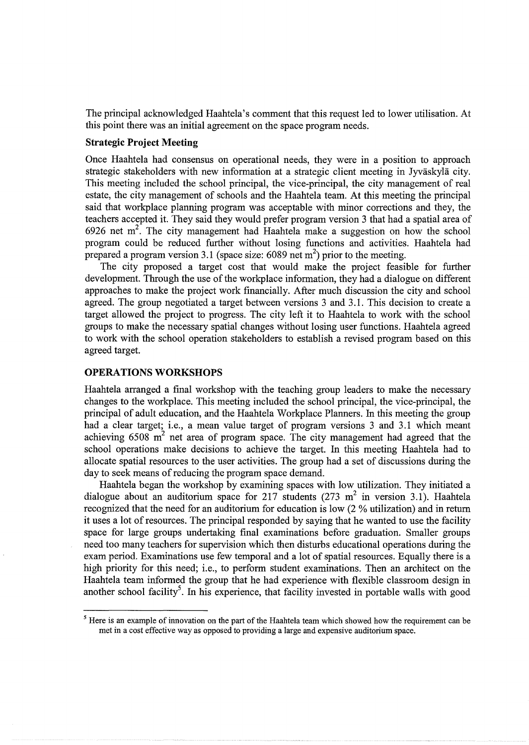The principal acknowledged Haahtela's comment that this request led to lower utilisation. At this point there was an initial agreement on the space program needs.

## **Strategic Project Meeting**

Once Haahtela had consensus on operational needs, they were in a position to approach strategic stakeholders with new information at a strategic client meeting in Jyvaskyla city. This meeting included the school principal, the vice-principal, the city management of real estate, the city management of schools and the Haahtela team. At this meeting the principal said that workplace planning program was acceptable with minor corrections and they, the teachers accepted it. They said they would prefer program version 3 that had a spatial area of 6926 net  $m^2$ . The city management had Haahtela make a suggestion on how the school program could be reduced further without losing functions and activities. Haahtela had prepared a program version 3.1 (space size: 6089 net m<sup>2</sup>) prior to the meeting.

The city proposed a target cost that would make the project feasible for further development. Through the use of the workplace information, they had a dialogue on different approaches to make the project work financially. After much discussion the city and school agreed. The group negotiated a target between versions 3 and 3 .1. This decision to create a target allowed the project to progress. The city left it to Haahtela to work with the school groups to make the necessary spatial changes without losing user functions. Haahtela agreed to work with the school operation stakeholders to establish a revised program based on this agreed target.

# **OPERATIONS WORKSHOPS**

Haahtela arranged a final workshop with the teaching group leaders to make the necessary changes to the workplace. This meeting included the school principal, the vice-principal, the principal of adult education, and the Haahtela Workplace Planners. In this meeting the group had a clear target; i.e., a mean value target of program versions 3 and 3.1 which meant achieving 6508  $m^2$  net area of program space. The city management had agreed that the school operations make decisions to achieve the target. In this meeting Haahtela had to allocate spatial resources to the user activities. The group had a set of discussions during the day to seek means of reducing the program space demand.

Haahtela began the workshop by examining spaces with low utilization. They initiated a dialogue about an auditorium space for 217 students (273 m<sup>2</sup> in version 3.1). Haahtela recognized that the need for an auditorium for education is low (2 % utilization) and in return it uses a lot of resources. The principal responded by saying that he wanted to use the facility space for large groups undertaking final examinations before graduation. Smaller groups need too many teachers for supervision which then disturbs educational operations during the exam period. Examinations use few temporal and a lot of spatial resources. Equally there is a high priority for this need; i.e., to perform student examinations. Then an architect on the Haahtela team informed the group that he had experience with flexible classroom design in another school facility<sup>5</sup>. In his experience, that facility invested in portable walls with good

<sup>&</sup>lt;sup>5</sup> Here is an example of innovation on the part of the Haahtela team which showed how the requirement can be met in a cost effective way as opposed to providing a large and expensive auditorium space.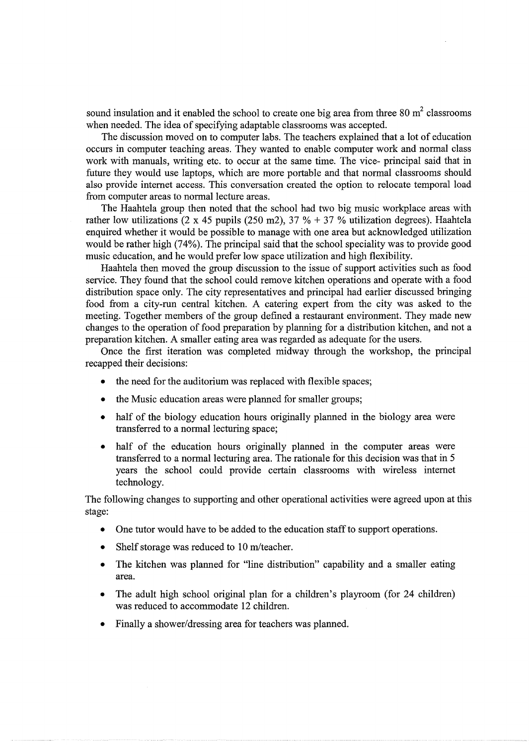sound insulation and it enabled the school to create one big area from three 80  $m<sup>2</sup>$  classrooms when needed. The idea of specifying adaptable classrooms was accepted.

The discussion moved on to computer labs. The teachers explained that a lot of education occurs in computer teaching areas. They wanted to enable computer work and normal class work with manuals, writing etc. to occur at the same time. The vice- principal said that in future they would use laptops, which are more portable and that normal classrooms should also provide internet access. This conversation created the option to relocate temporal load from computer areas to normal lecture areas.

The Haahtela group then noted that the school had two big music workplace areas with rather low utilizations (2 x 45 pupils (250 m2), 37 % + 37 % utilization degrees). Haahtela enquired whether it would be possible to manage with one area but acknowledged utilization would be rather high (74%). The principal said that the school speciality was to provide good music education, and he would prefer low space utilization and high flexibility.

Haahtela then moved the group discussion to the issue of support activities such as food service. They found that the school could remove kitchen operations and operate with a food distribution space only. The city representatives and principal had earlier discussed bringing food from a city-run central kitchen. A catering expert from the city was asked to the meeting. Together members of the group defined a restaurant environment. They made new changes to the operation of food preparation by planning for a distribution kitchen, and not a preparation kitchen. A smaller eating area was regarded as adequate for the users.

Once the first iteration was completed midway through the workshop, the principal recapped their decisions:

- the need for the auditorium was replaced with flexible spaces;
- the Music education areas were planned for smaller groups;
- half of the biology education hours originally planned in the biology area were transferred to a normal lecturing space;
- half of the education hours originally planned in the computer areas were transferred to a normal lecturing area. The rationale for this decision was that in 5 years the school could provide certain classrooms with wireless internet technology.

The following changes to supporting and other operational activities were agreed upon at this stage:

- One tutor would have to be added to the education staff to support operations.
- Shelf storage was reduced to 10 m/teacher.
- The kitchen was planned for "line distribution" capability and a smaller eating area.
- The adult high school original plan for a children's playroom (for 24 children) was reduced to accommodate 12 children.
- Finally a shower/dressing area for teachers was planned.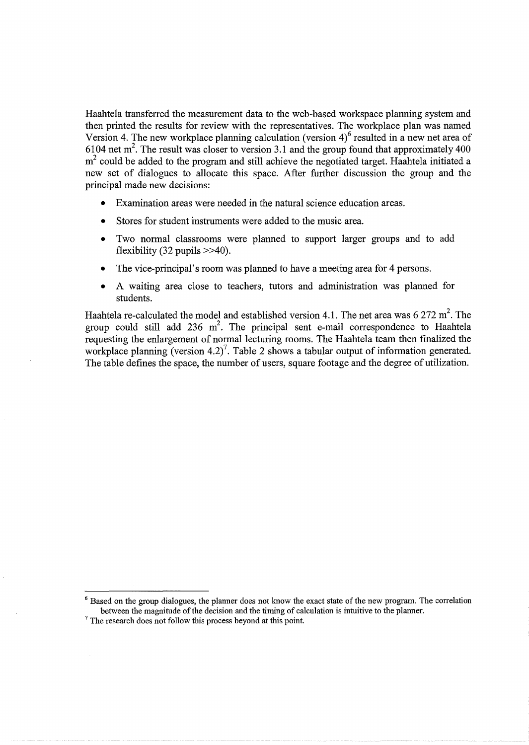Haahtela transferred the measurement data to the web-based workspace planning system and then printed the results for review with the representatives. The workplace plan was named Version 4. The new workplace planning calculation (version  $4)^6$  resulted in a new net area of 6104 net  $m^2$ . The result was closer to version 3.1 and the group found that approximately 400  $m<sup>2</sup>$  could be added to the program and still achieve the negotiated target. Haahtela initiated a new set of dialogues to allocate this space. After further discussion the group and the principal made new decisions:

- Examination areas were needed in the natural science education areas.
- Stores for student instruments were added to the music area.
- Two normal classrooms were planned to support larger groups and to add flexibility  $(32 \text{ pupils} > 40)$ .
- The vice-principal's room was planned to have a meeting area for 4 persons.
- A waiting area close to teachers, tutors and administration was planned for students.

Haahtela re-calculated the model and established version 4.1. The net area was 6 272 m<sup>2</sup>. The group could still add 236  $m^2$ . The principal sent e-mail correspondence to Haahtela requesting the enlargement of normal lecturing rooms. The Haahtela team then finalized the workplace planning (version 4.2)<sup>7</sup>. Table 2 shows a tabular output of information generated. The table defines the space, the number of users, square footage and the degree of utilization.

<sup>6</sup> Based on the group dialogues, the planner does not know the exact state of the new program. The correlation between the magnitude of the decision and the timing of calculation is intuitive to the planner.<sup>7</sup> The research does not follow this process beyond at this point.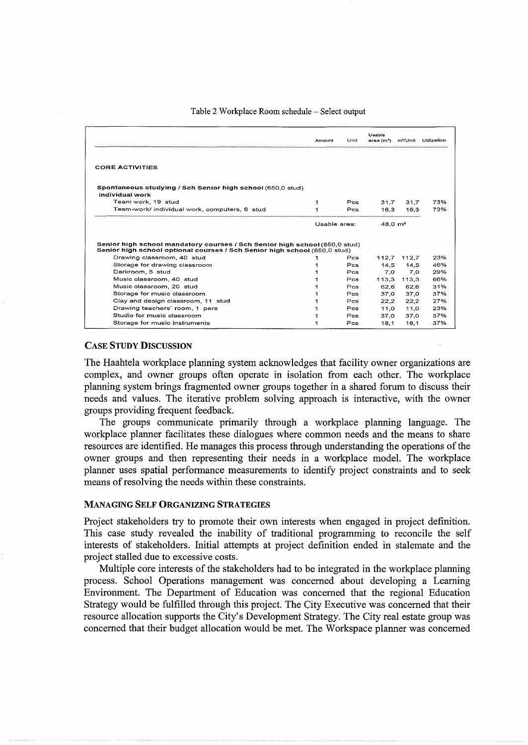#### Table 2 Workplace Room schedule- Select output

|                                                                                                                                                         | Amount       | Unit       | Usable<br>area (m <sup>2</sup> ) | m / Unit    | Utilization |
|---------------------------------------------------------------------------------------------------------------------------------------------------------|--------------|------------|----------------------------------|-------------|-------------|
| <b>CORE ACTIVITIES</b>                                                                                                                                  |              |            |                                  |             |             |
| Spontaneous studying / Sch Senior high school (650,0 stud)<br>Individual work                                                                           |              |            |                                  |             |             |
| Team work, 19 stud                                                                                                                                      | 1            | Pcs        | 31.7                             | 31.7        | 73%         |
| Team-work/ individual work, computers, 6 stud                                                                                                           |              | Pos        | 16.3                             | 16.3        | 73%         |
|                                                                                                                                                         | Usable area: |            | $48.0 \text{ m}^2$               |             |             |
|                                                                                                                                                         |              |            |                                  |             |             |
| Senior high school mandatory courses / Sch Senior high school (650,0 stud)<br>Senior high school optional courses / Sch Senior high school (650,0 stud) |              |            |                                  |             |             |
| Drawing classroom, 40 stud                                                                                                                              |              | $P_{CS}$   | 112.7                            | 112.7       | 23%         |
| Storage for drawing classroom                                                                                                                           |              | Pcs        | 14.5                             | 14.5        | 46%         |
| Darkroom, 5 stud                                                                                                                                        |              | Pcs        | 7.0                              | 7.0         | 29%         |
| Music classroom, 40 stud                                                                                                                                |              | Pcs        |                                  | 113.3 113.3 | 66%         |
| Music classroom, 20 stud                                                                                                                                |              | <b>Pcs</b> | 62.6                             | 62.6        | 31%         |
| Storage for music classroom                                                                                                                             | 1            | Pcs.       | 37.0                             | 37.0        | 37%         |
| Clay and design classroom, 11 stud                                                                                                                      |              | <b>Pcs</b> | 22.2                             | 22.2        |             |
| Drawing teachers' room, 1 pers                                                                                                                          | 1            | Pcs        | 11.0                             | 11.0        | 27%<br>23%  |
| Studio for music classroom                                                                                                                              | 1            | <b>Pcs</b> | 37.0                             | 37.0        | 37%         |

#### CASE STUDY DISCUSSION

The Haahtela workplace planning system acknowledges that facility owner organizations are complex, and owner groups often operate in isolation from each other. The workplace planning system brings fragmented owner groups together in a shared forum to discuss their needs and values. The iterative problem solving approach is interactive, with the owner groups providing frequent feedback.

The groups communicate primarily through a workplace planning language. The workplace planner facilitates these dialogues where common needs and the means to share resources are identified. He manages this process through understanding the operations of the owner groups and then representing their needs in a workplace model. The workplace planner uses spatial performance measurements to identify project constraints and to seek means of resolving the needs within these constraints.

#### MANAGING SELF ORGANIZING STRATEGIES

Project stakeholders try to promote their own interests when engaged in project definition. This case study revealed the inability of traditional programming to reconcile the self interests of stakeholders. Initial attempts at project definition ended in stalemate and the project stalled due to excessive costs.

Multiple core interests of the stakeholders had to be integrated in the workplace planning process. School Operations management was concerned about developing a Learning Environment. The Department of Education was concerned that the regional Education Strategy would be fulfilled through this project. The City Executive was concerned that their resource allocation supports the City's Development Strategy. The City real estate group was concerned that their budget allocation would be met. The Workspace planner was concerned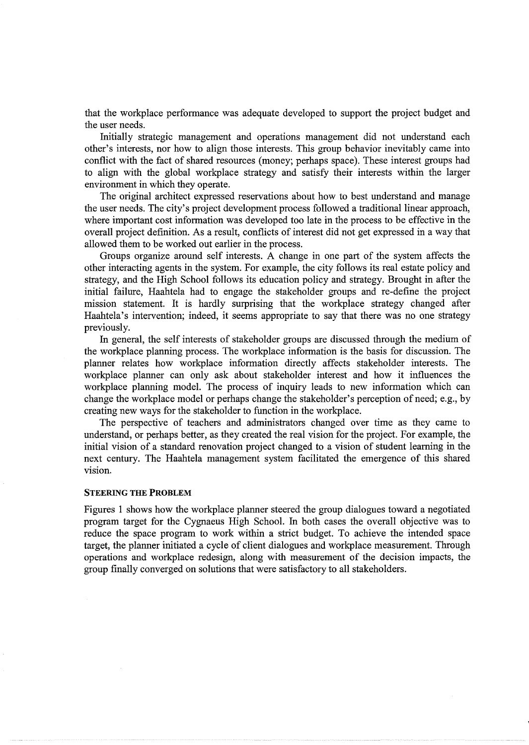that the workplace performance was adequate developed to support the project budget and the user needs.

Initially strategic management and operations management did not understand each other's interests, nor how to align those interests. This group behavior inevitably came into conflict with the fact of shared resources (money; perhaps space). These interest groups had to align with the global workplace strategy and satisfy their interests within the larger environment in which they operate.

The original architect expressed reservations about how to best understand and manage the user needs. The city's project development process followed a traditional linear approach, where important cost information was developed too late in the process to be effective in the overall project definition. As a result, conflicts of interest did not get expressed in a way that allowed them to be worked out earlier in the process.

Groups organize around self interests. A change in one part of the system affects the other interacting agents in the system. For example, the city follows its real estate policy and strategy, and the High School follows its education policy and strategy. Brought in after the initial failure, Haahtela had to engage the stakeholder groups and re-define the project mission statement. It is hardly surprising that the workplace strategy changed after Haahtela's intervention; indeed, it seems appropriate to say that there was no one strategy previously.

In general, the self interests of stakeholder groups are discussed through the medium of the workplace planning process. The workplace information is the basis for discussion. The planner relates how workplace information directly affects stakeholder interests. The workplace planner can only ask about stakeholder interest and how it influences the workplace planning model. The process of inquiry leads to new information which can change the workplace model or perhaps change the stakeholder's perception of need; e.g., by creating new ways for the stakeholder to function in the workplace.

The perspective of teachers and administrators changed over time as they came to understand, or perhaps better, as they created the real vision for the project. For example, the initial vision of a standard renovation project changed to a vision of student learning in the next century. The Haahtela management system facilitated the emergence of this shared vision.

#### STEERING THE PROBLEM

Figures 1 shows how the workplace planner steered the group dialogues toward a negotiated program target for the Cygnaeus High School. In both cases the overall objective was to reduce the space program to work within a strict budget. To achieve the intended space target, the planner initiated a cycle of client dialogues and workplace measurement. Through operations and workplace redesign, along with measurement of the decision impacts, the group finally converged on solutions that were satisfactory to all stakeholders.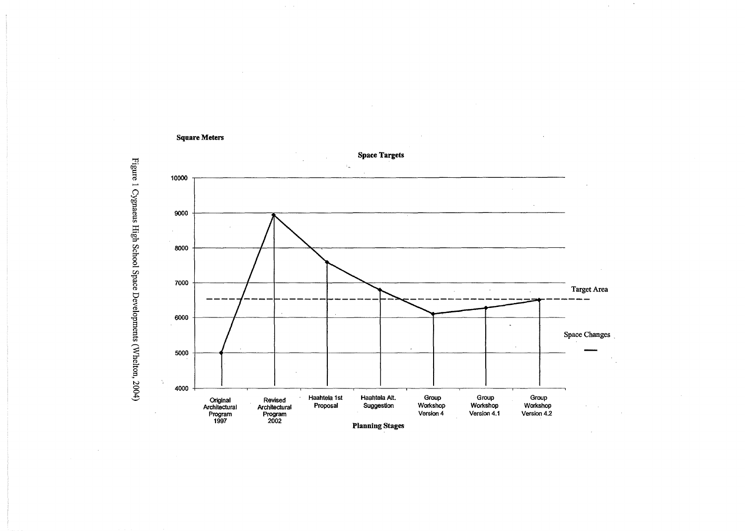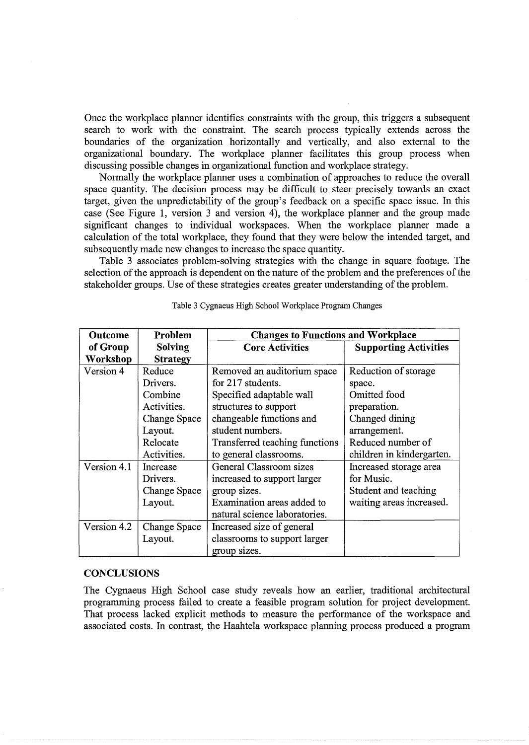Once the workplace planner identifies constraints with the group, this triggers a subsequent search to work with the constraint. The search process typically extends across the boundaries of the organization horizontally and vertically, and also external to the organizational boundary. The workplace planner facilitates this group process when discussing possible changes in organizational function and workplace strategy.

Normally the workplace planner uses a combination of approaches to reduce the overall space quantity. The decision process may be difficult to steer precisely towards an exact target, given the unpredictability of the group's feedback on a specific space issue. In this case (See Figure 1, version 3 and version 4), the workplace planner and the group made significant changes to individual workspaces. When the workplace planner made a calculation of the total workplace, they found that they were below the intended target, and subsequently made new changes to increase the space quantity.

Table 3 associates problem-solving strategies with the change in square footage. The selection of the approach is dependent on the nature of the problem and the preferences of the stakeholder groups. Use of these strategies creates greater understanding of the problem.

| <b>Outcome</b>  | Problem         | <b>Changes to Functions and Workplace</b> |                              |  |
|-----------------|-----------------|-------------------------------------------|------------------------------|--|
| of Group        | Solving         | <b>Core Activities</b>                    | <b>Supporting Activities</b> |  |
| <b>Workshop</b> | <b>Strategy</b> |                                           |                              |  |
| Version 4       | Reduce          | Removed an auditorium space               | Reduction of storage         |  |
|                 | Drivers.        | for 217 students.                         | space.                       |  |
|                 | Combine         | Specified adaptable wall                  | Omitted food                 |  |
|                 | Activities.     | structures to support                     | preparation.                 |  |
|                 | Change Space    | changeable functions and                  | Changed dining               |  |
|                 | Layout.         | student numbers.                          | arrangement.                 |  |
|                 | Relocate        | Transferred teaching functions            | Reduced number of            |  |
|                 | Activities.     | to general classrooms.                    | children in kindergarten.    |  |
| Version 4.1     | Increase        | General Classroom sizes                   | Increased storage area       |  |
|                 | Drivers.        | increased to support larger               | for Music.                   |  |
|                 | Change Space    | group sizes.                              | Student and teaching         |  |
|                 | Layout.         | Examination areas added to                | waiting areas increased.     |  |
|                 |                 | natural science laboratories.             |                              |  |
| Version 4.2     | Change Space    | Increased size of general                 |                              |  |
|                 | Layout.         | classrooms to support larger              |                              |  |
|                 |                 | group sizes.                              |                              |  |

Table 3 Cygnaeus High School Workplace Program Changes

#### **CONCLUSIONS**

The Cygnaeus High School case study reveals how an earlier, traditional architectural programming process failed to create a feasible program solution for project development. That process lacked explicit methods to measure the performance of the workspace and associated costs. In contrast, the Haahtela workspace planning process produced a program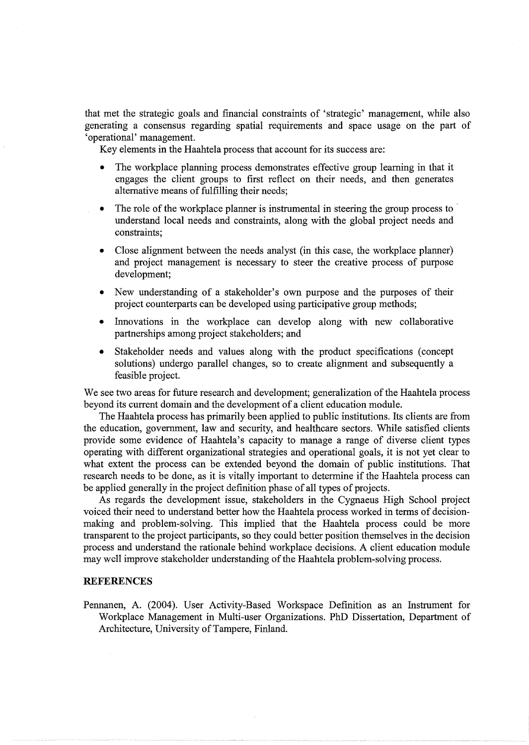that met the strategic goals and financial constraints of 'strategic' management, while also generating a consensus regarding spatial requirements and space usage on the part of 'operational' management.

Key elements in the Haahtela process that account for its success are:

- The workplace planning process demonstrates effective group learning in that it engages the client groups to first reflect on their needs, and then generates alternative means of fulfilling their needs;
- The role of the workplace planner is instrumental in steering the group process to understand local needs and constraints, along with the global project needs and constraints;
- Close alignment between the needs analyst (in this case, the workplace planner) and project management is necessary to steer the creative process of purpose development;
- New understanding of a stakeholder's own purpose and the purposes of their project counterparts can be developed using participative group methods;
- Innovations in the workplace can develop along with new collaborative partnerships among project stakeholders; and
- Stakeholder needs and values along with the product specifications (concept solutions) undergo parallel changes, so to create alignment and subsequently a feasible project.

We see two areas for future research and development; generalization of the Haahtela process beyond its current domain and the development of a client education module.

The Haahtela process has primarily been applied to public institutions. Its clients are from the education, government, law and security, and healthcare sectors. While satisfied clients provide some evidence of Haahtela's capacity to manage a range of diverse client types operating with different organizational strategies and operational goals, it is not yet clear to what extent the process can be extended beyond the domain of public institutions. That research needs to be done, as it is vitally important to determine if the Haahtela process can be applied generally in the project definition phase of all types of projects.

As regards the development issue, stakeholders in the Cygnaeus High School project voiced their need to understand better how the Haahtela process worked in terms of decisionmaking and problem-solving. This implied that the Haahtela process could be more transparent to the project participants, so they could better position themselves in the decision process and understand the rationale behind workplace decisions. A client education module may well improve stakeholder understanding of the Haahtela problem-solving process.

#### **REFERENCES**

Pennanen, A. (2004). User Activity-Based Workspace Definition as an Instrument for Workplace Management in Multi-user Organizations. PhD Dissertation, Department of Architecture, University of Tampere, Finland.